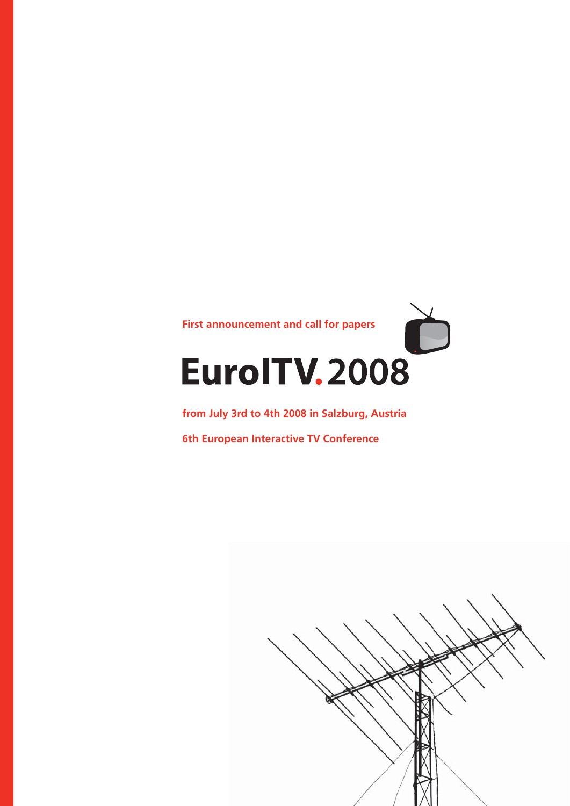

**from July 3rd to 4th 2008 in Salzburg, Austria**

**6th European Interactive TV Conference**

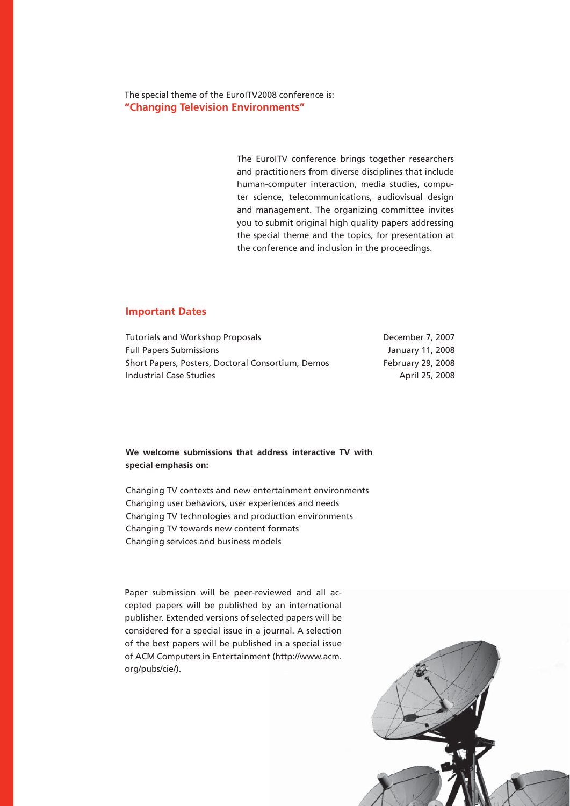The special theme of the EuroITV2008 conference is: **"Changing Television Environments"** 

> The EuroITV conference brings together researchers and practitioners from diverse disciplines that include human-computer interaction, media studies, computer science, telecommunications, audiovisual design and management. The organizing committee invites you to submit original high quality papers addressing the special theme and the topics, for presentation at the conference and inclusion in the proceedings.

### **Important Dates**

| Tutorials and Workshop Proposals                  | December 7, 2007  |
|---------------------------------------------------|-------------------|
| <b>Full Papers Submissions</b>                    | January 11, 2008  |
| Short Papers, Posters, Doctoral Consortium, Demos | February 29, 2008 |
| Industrial Case Studies                           | April 25, 2008    |

## **We welcome submissions that address interactive TV with special emphasis on:**

Changing TV contexts and new entertainment environments Changing user behaviors, user experiences and needs Changing TV technologies and production environments Changing TV towards new content formats Changing services and business models

Paper submission will be peer-reviewed and all accepted papers will be published by an international publisher. Extended versions of selected papers will be considered for a special issue in a journal. A selection of the best papers will be published in a special issue of ACM Computers in Entertainment (http://www.acm. org/pubs/cie/).

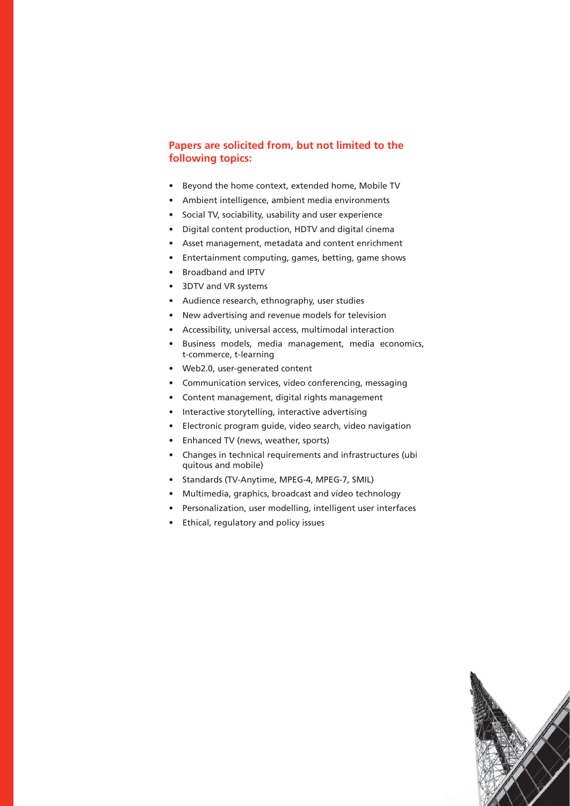# **Papers are solicited from, but not limited to the following topics:**

- Beyond the home context, extended home, Mobile TV
- Ambient intelligence, ambient media environments
- Social TV, sociability, usability and user experience
- Digital content production, HDTV and digital cinema
- Asset management, metadata and content enrichment
- Entertainment computing, games, betting, game shows
- Broadband and IPTV
- 3DTV and VR systems
- Audience research, ethnography, user studies
- New advertising and revenue models for television
- Accessibility, universal access, multimodal interaction
- Business models, media management, media economics, t-commerce, t-learning
- Web2.0, user-generated content
- Communication services, video conferencing, messaging
- Content management, digital rights management
- Interactive storytelling, interactive advertising
- Electronic program guide, video search, video navigation
- Enhanced TV (news, weather, sports)
- Changes in technical requirements and infrastructures (ubi quitous and mobile)
- Standards (TV-Anytime, MPEG-4, MPEG-7, SMIL)
- Multimedia, graphics, broadcast and video technology
- Personalization, user modelling, intelligent user interfaces
- Ethical, regulatory and policy issues